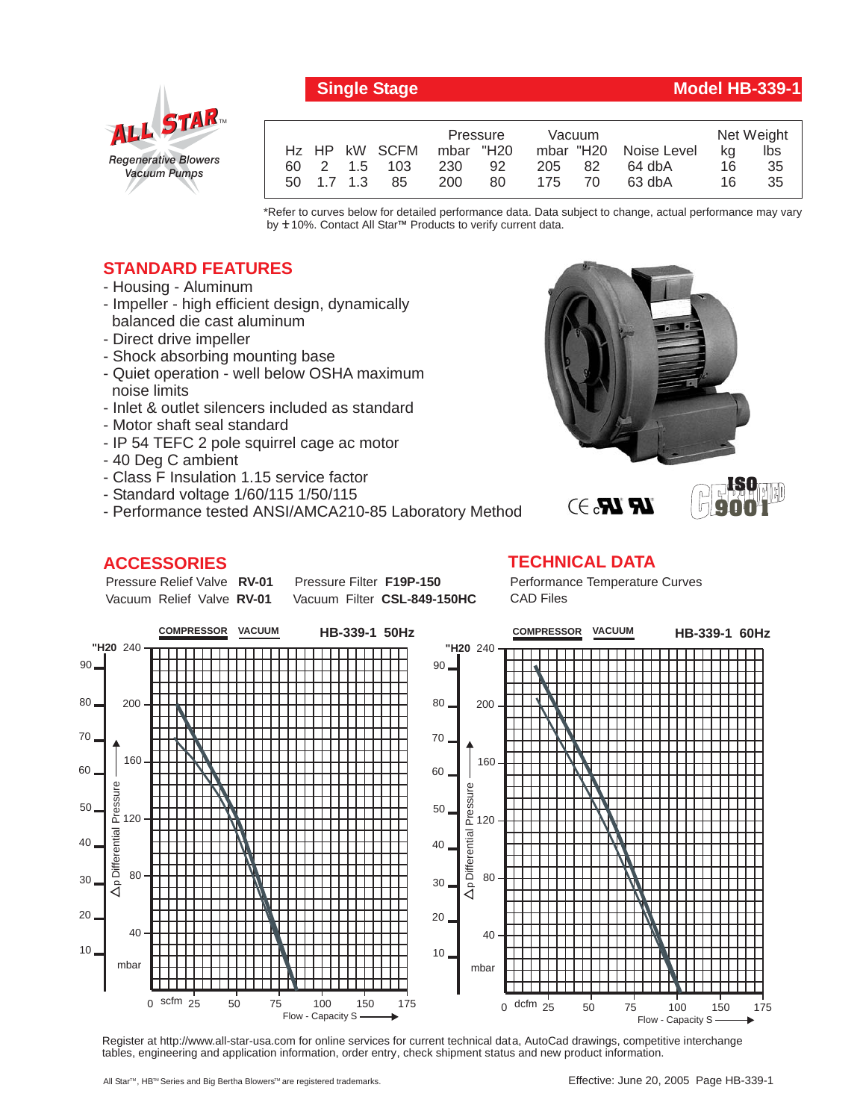

## **Single Stage Model HB-339-1**

**ISO 9001**

|            |               | Pressure  |    | Vacuum |    |                       | Net Weight |     |
|------------|---------------|-----------|----|--------|----|-----------------------|------------|-----|
|            | Hz HP kW SCFM | mbar "H20 |    |        |    | mbar "H20 Noise Level | ka         | lbs |
|            | 60 2 1.5 103  | 230       | 92 | 205 82 |    | 64 dbA                | 16         | 35  |
| 50 1.7 1.3 | -85           | 200       | 80 | 175    | 70 | 63 dbA                | 16         | 35  |

\*Refer to curves below for detailed performance data. Data subject to change, actual performance may vary by **+** 10%. Contact All Star™ Products to verify current data.

## **STANDARD FEATURES**

- Housing Aluminum
- Impeller high efficient design, dynamically balanced die cast aluminum
- Direct drive impeller
- Shock absorbing mounting base
- Quiet operation well below OSHA maximum noise limits
- Inlet & outlet silencers included as standard
- Motor shaft seal standard
- IP 54 TEFC 2 pole squirrel cage ac motor
- 40 Deg C ambient
- Class F Insulation 1.15 service factor
- Standard voltage 1/60/115 1/50/115
- Performance tested ANSI/AMCA210-85 Laboratory Method

**Pressure Filter F19P-150** Vacuum Filter CSL-849-150HC

## **ACCESSORIES**

Pressure Relief Valve RV-01 Vacuum Relief Valve RV-01

## **TECHNICAL DATA** Performance Temperature Curves CAD Files

 $\mathbb{R}$   $\mathbb{R}$ . $\ni$ 



Register at http://www.all-star-usa.com for online services for current technical data, AutoCad drawings, competitive interchange tables, engineering and application information, order entry, check shipment status and new product information.